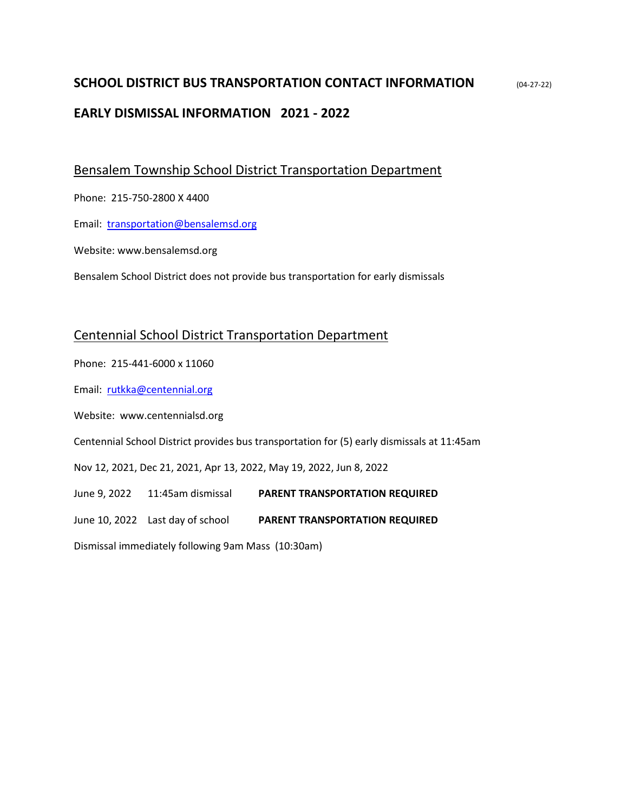# **SCHOOL DISTRICT BUS TRANSPORTATION CONTACT INFORMATION** (04-27-22) **EARLY DISMISSAL INFORMATION 2021 - 2022**

Bensalem Township School District Transportation Department

Phone: 215-750-2800 X 4400

Email: [transportation@bensalemsd.org](mailto:transportation@bensalemsd.org)

Website: www.bensalemsd.org

Bensalem School District does not provide bus transportation for early dismissals

## Centennial School District Transportation Department

Phone: 215-441-6000 x 11060

Email: [rutkka@centennial.org](mailto:rutkka@centennial.org)

Website: www.centennialsd.org

Centennial School District provides bus transportation for (5) early dismissals at 11:45am

Nov 12, 2021, Dec 21, 2021, Apr 13, 2022, May 19, 2022, Jun 8, 2022

June 9, 2022 11:45am dismissal **PARENT TRANSPORTATION REQUIRED**

June 10, 2022 Last day of school **PARENT TRANSPORTATION REQUIRED**

Dismissal immediately following 9am Mass (10:30am)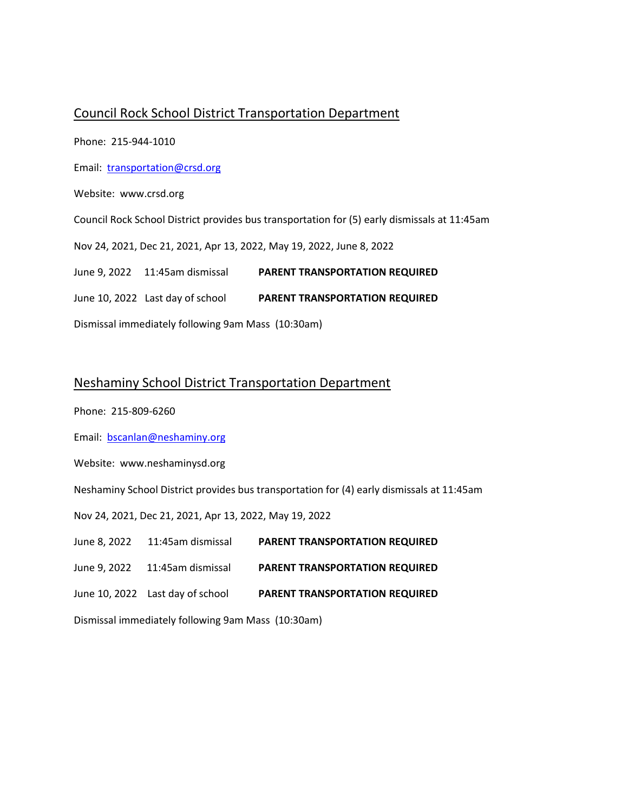# Council Rock School District Transportation Department

Phone: 215-944-1010

Email: [transportation@crsd.org](mailto:transportation@crsd.org)

Website: www.crsd.org

Council Rock School District provides bus transportation for (5) early dismissals at 11:45am

Nov 24, 2021, Dec 21, 2021, Apr 13, 2022, May 19, 2022, June 8, 2022

June 9, 2022 11:45am dismissal **PARENT TRANSPORTATION REQUIRED**

June 10, 2022 Last day of school **PARENT TRANSPORTATION REQUIRED**

Dismissal immediately following 9am Mass (10:30am)

#### Neshaminy School District Transportation Department

Phone: 215-809-6260

Email: [bscanlan@neshaminy.org](mailto:bscanlan@neshaminy.org)

Website: www.neshaminysd.org

Neshaminy School District provides bus transportation for (4) early dismissals at 11:45am

Nov 24, 2021, Dec 21, 2021, Apr 13, 2022, May 19, 2022

|  | 11:45am dismissal<br>June 8, 2022 | <b>PARENT TRANSPORTATION REQUIRED</b> |
|--|-----------------------------------|---------------------------------------|
|--|-----------------------------------|---------------------------------------|

June 9, 2022 11:45am dismissal **PARENT TRANSPORTATION REQUIRED**

June 10, 2022 Last day of school **PARENT TRANSPORTATION REQUIRED**

Dismissal immediately following 9am Mass (10:30am)